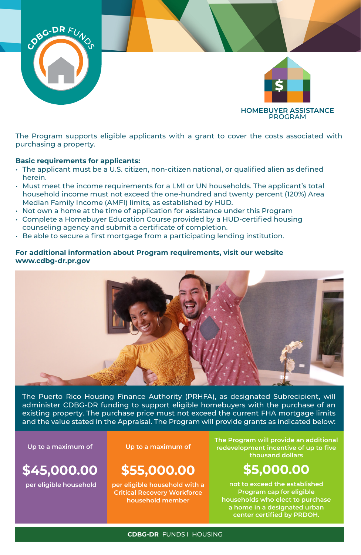

The Program supports eligible applicants with a grant to cover the costs associated with purchasing a property.

## **Basic requirements for applicants:**

- The applicant must be a U.S. citizen, non-citizen national, or qualified alien as defined herein.
- Must meet the income requirements for a LMI or UN households. The applicant's total household income must not exceed the one-hundred and twenty percent (120%) Area Median Family Income (AMFI) limits, as established by HUD.
- Not own a home at the time of application for assistance under this Program
- Complete a Homebuyer Education Course provided by a HUD-certified housing counseling agency and submit a certificate of completion.
- Be able to secure a first mortgage from a participating lending institution.

## **For additional information about Program requirements, visit our website www.cdbg-dr.pr.gov**



The Puerto Rico Housing Finance Authority (PRHFA), as designated Subrecipient, will administer CDBG-DR funding to support eligible homebuyers with the purchase of an existing property. The purchase price must not exceed the current FHA mortgage limits and the value stated in the Appraisal. The Program will provide grants as indicated below:

**\$45,000.00**

**per eligible household**

**Up to a maximum of Up to a maximum of**

## **\$55,000.00**

**per eligible household with a Critical Recovery Workforce household member**

**The Program will provide an additional redevelopment incentive of up to five thousand dollars** 

# **\$5,000.00**

**not to exceed the established Program cap for eligible households who elect to purchase a home in a designated urban center certified by PRDOH.**

### **CDBG-DR** FUNDS I HOUSING